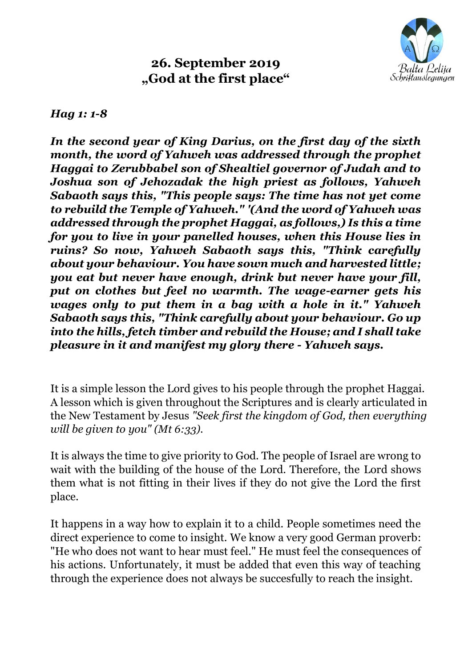

## **26. September 2019 "God at the first place"**

## *Hag 1: 1-8*

*In the second year of King Darius, on the first day of the sixth month, the word of Yahweh was addressed through the prophet Haggai to Zerubbabel son of Shealtiel governor of Judah and to Joshua son of Jehozadak the high priest as follows, Yahweh Sabaoth says this, "This people says: The time has not yet come to rebuild the Temple of Yahweh." '(And the word of Yahweh was addressed through the prophet Haggai, as follows,) Is this a time for you to live in your panelled houses, when this House lies in ruins? So now, Yahweh Sabaoth says this, "Think carefully about your behaviour. You have sown much and harvested little; you eat but never have enough, drink but never have your fill, put on clothes but feel no warmth. The wage-earner gets his wages only to put them in a bag with a hole in it." Yahweh Sabaoth says this, "Think carefully about your behaviour. Go up into the hills, fetch timber and rebuild the House; and I shall take pleasure in it and manifest my glory there - Yahweh says.*

It is a simple lesson the Lord gives to his people through the prophet Haggai. A lesson which is given throughout the Scriptures and is clearly articulated in the New Testament by Jesus *"Seek first the kingdom of God, then everything will be given to you" (Mt 6:33).*

It is always the time to give priority to God. The people of Israel are wrong to wait with the building of the house of the Lord. Therefore, the Lord shows them what is not fitting in their lives if they do not give the Lord the first place.

It happens in a way how to explain it to a child. People sometimes need the direct experience to come to insight. We know a very good German proverb: "He who does not want to hear must feel." He must feel the consequences of his actions. Unfortunately, it must be added that even this way of teaching through the experience does not always be succesfully to reach the insight.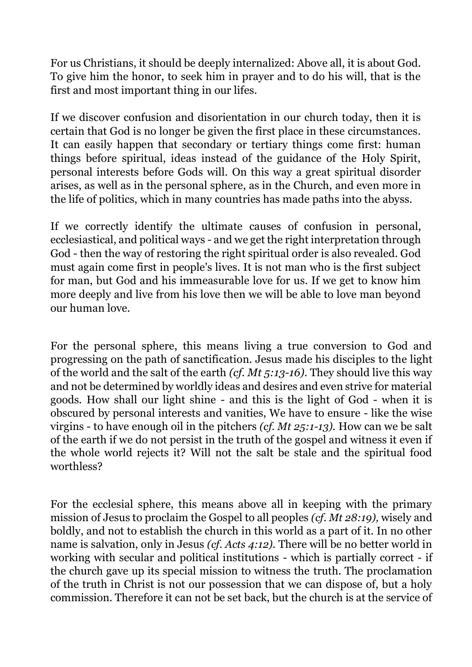For us Christians, it should be deeply internalized: Above all, it is about God. To give him the honor, to seek him in prayer and to do his will, that is the first and most important thing in our lifes.

If we discover confusion and disorientation in our church today, then it is certain that God is no longer be given the first place in these circumstances. It can easily happen that secondary or tertiary things come first: human things before spiritual, ideas instead of the guidance of the Holy Spirit, personal interests before Gods will. On this way a great spiritual disorder arises, as well as in the personal sphere, as in the Church, and even more in the life of politics, which in many countries has made paths into the abyss.

If we correctly identify the ultimate causes of confusion in personal, ecclesiastical, and political ways - and we get the right interpretation through God - then the way of restoring the right spiritual order is also revealed. God must again come first in people's lives. It is not man who is the first subject for man, but God and his immeasurable love for us. If we get to know him more deeply and live from his love then we will be able to love man beyond our human love.

For the personal sphere, this means living a true conversion to God and progressing on the path of sanctification. Jesus made his disciples to the light of the world and the salt of the earth *(cf. Mt 5:13-16).* They should live this way and not be determined by worldly ideas and desires and even strive for material goods. How shall our light shine - and this is the light of God - when it is obscured by personal interests and vanities, We have to ensure - like the wise virgins - to have enough oil in the pitchers *(cf. Mt 25:1-13).* How can we be salt of the earth if we do not persist in the truth of the gospel and witness it even if the whole world rejects it? Will not the salt be stale and the spiritual food worthless?

For the ecclesial sphere, this means above all in keeping with the primary mission of Jesus to proclaim the Gospel to all peoples *(cf. Mt 28:19),* wisely and boldly, and not to establish the church in this world as a part of it. In no other name is salvation, only in Jesus *(cf. Acts 4:12).* There will be no better world in working with secular and political institutions - which is partially correct - if the church gave up its special mission to witness the truth. The proclamation of the truth in Christ is not our possession that we can dispose of, but a holy commission. Therefore it can not be set back, but the church is at the service of